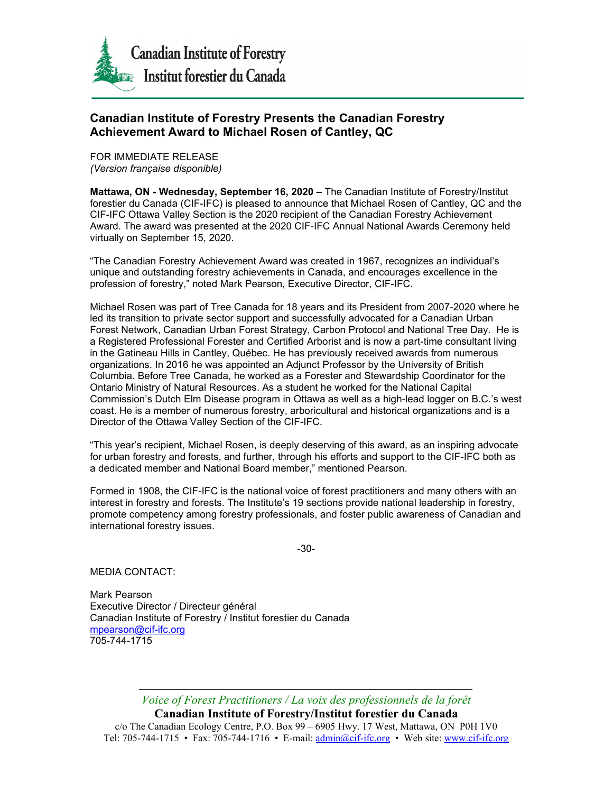

## **Canadian Institute of Forestry Presents the Canadian Forestry Achievement Award to Michael Rosen of Cantley, QC**

FOR IMMEDIATE RELEASE *(Version française disponible)*

**Mattawa, ON - Wednesday, September 16, 2020 –** The Canadian Institute of Forestry/Institut forestier du Canada (CIF-IFC) is pleased to announce that Michael Rosen of Cantley, QC and the CIF-IFC Ottawa Valley Section is the 2020 recipient of the Canadian Forestry Achievement Award. The award was presented at the 2020 CIF-IFC Annual National Awards Ceremony held virtually on September 15, 2020.

"The Canadian Forestry Achievement Award was created in 1967, recognizes an individual's unique and outstanding forestry achievements in Canada, and encourages excellence in the profession of forestry," noted Mark Pearson, Executive Director, CIF-IFC.

Michael Rosen was part of Tree Canada for 18 years and its President from 2007-2020 where he led its transition to private sector support and successfully advocated for a Canadian Urban Forest Network, Canadian Urban Forest Strategy, Carbon Protocol and National Tree Day. He is a Registered Professional Forester and Certified Arborist and is now a part-time consultant living in the Gatineau Hills in Cantley, Québec. He has previously received awards from numerous organizations. In 2016 he was appointed an Adjunct Professor by the University of British Columbia. Before Tree Canada, he worked as a Forester and Stewardship Coordinator for the Ontario Ministry of Natural Resources. As a student he worked for the National Capital Commission's Dutch Elm Disease program in Ottawa as well as a high-lead logger on B.C.'s west coast. He is a member of numerous forestry, arboricultural and historical organizations and is a Director of the Ottawa Valley Section of the CIF-IFC.

"This year's recipient, Michael Rosen, is deeply deserving of this award, as an inspiring advocate for urban forestry and forests, and further, through his efforts and support to the CIF-IFC both as a dedicated member and National Board member," mentioned Pearson.

Formed in 1908, the CIF-IFC is the national voice of forest practitioners and many others with an interest in forestry and forests. The Institute's 19 sections provide national leadership in forestry, promote competency among forestry professionals, and foster public awareness of Canadian and international forestry issues.

-30-

MEDIA CONTACT:

Mark Pearson Executive Director / Directeur général Canadian Institute of Forestry / Institut forestier du Canada [mpearson@cif-ifc.org](mailto:mpearson@cif-ifc.org) 705-744-1715

*Voice of Forest Practitioners / La voix des professionnels de la forêt*

**Canadian Institute of Forestry/Institut forestier du Canada** c/o The Canadian Ecology Centre, P.O. Box 99 – 6905 Hwy. 17 West, Mattawa, ON P0H 1V0 Tel: 705-744-1715 • Fax: 705-744-1716 • E-mail: [admin@cif-ifc.org](mailto:admin@cif-ifc.org) • Web site: [www.cif-ifc.org](http://www.cif-ifc.org/)